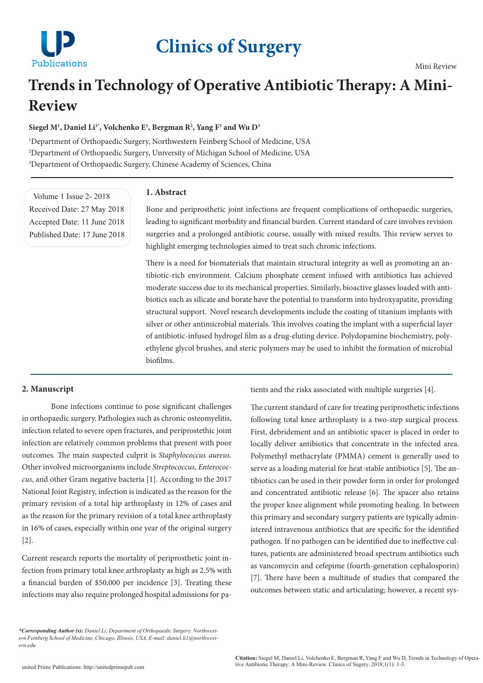

# **Clinics of Surgery**

## **Trends in Technology of Operative Antibiotic Therapy: A Mini-Review**

## Siegel M<sup>1</sup>, Daniel Li<sup>1\*</sup>, Volchenko E<sup>1</sup>, Bergman R<sup>2</sup>, Yang F<sup>3</sup> and Wu D<sup>3</sup>

1 Department of Orthopaedic Surgery, Northwestern Feinberg School of Medicine, USA 2 Department of Orthopaedic Surgery, University of Michigan School of Medicine, USA 3 Department of Orthopaedic Surgery, Chinese Academy of Sciences, China

Volume 1 Issue 2- 2018 Received Date: 27 May 2018 Accepted Date: 11 June 2018 Published Date: 17 June 2018

## **1. Abstract**

Bone and periprosthetic joint infections are frequent complications of orthopaedic surgeries, leading to significant morbidity and financial burden. Current standard of care involves revision surgeries and a prolonged antibiotic course, usually with mixed results. This review serves to highlight emerging technologies aimed to treat such chronic infections.

There is a need for biomaterials that maintain structural integrity as well as promoting an antibiotic-rich environment. Calcium phosphate cement infused with antibiotics has achieved moderate success due to its mechanical properties. Similarly, bioactive glasses loaded with antibiotics such as silicate and borate have the potential to transform into hydroxyapatite, providing structural support. Novel research developments include the coating of titanium implants with silver or other antimicrobial materials. This involves coating the implant with a superficial layer of antibiotic-infused hydrogel film as a drug-eluting device. Polydopamine biochemistry, polyethylene glycol brushes, and steric polymers may be used to inhibit the formation of microbial biofilms.

#### **2. Manuscript**

Bone infections continue to pose significant challenges in orthopaedic surgery. Pathologies such as chronic osteomyelitis, infection related to severe open fractures, and periprostethic joint infection are relatively common problems that present with poor outcomes. The main suspected culprit is *Staphylococcus aureus*. Other involved microorganisms include *Streptococcus*, *Enterococcus*, and other Gram negative bacteria [1]. According to the 2017 National Joint Registry, infection is indicated as the reason for the primary revision of a total hip arthroplasty in 12% of cases and as the reason for the primary revision of a total knee arthroplasty in 16% of cases, especially within one year of the original surgery [2].

Current research reports the mortality of periprosthetic joint infection from primary total knee arthroplasty as high as 2.5% with a financial burden of \$50,000 per incidence [3]. Treating these infections may also require prolonged hospital admissions for patients and the risks associated with multiple surgeries [4].

The current standard of care for treating periprosthetic infections following total knee arthroplasty is a two-step surgical process. First, debridement and an antibiotic spacer is placed in order to locally deliver antibiotics that concentrate in the infected area. Polymethyl methacrylate (PMMA) cement is generally used to serve as a loading material for heat-stable antibiotics [5]. The antibiotics can be used in their powder form in order for prolonged and concentrated antibiotic release [6]. The spacer also retains the proper knee alignment while promoting healing. In between this primary and secondary surgery patients are typically administered intravenous antibiotics that are specific for the identified pathogen. If no pathogen can be identified due to ineffective cultures, patients are administered broad spectrum antibiotics such as vancomycin and cefepime (fourth-generation cephalosporin) [7]. There have been a multitude of studies that compared the outcomes between static and articulating; however, a recent sys-

*<sup>\*</sup>Corresponding Author (s): Daniel Li, Department of Orthopaedic Surgery, Northwestern Feinberg School of Medicine, Chicago, Illinois, USA, E-mail: daniel.li1@northwestern.edu*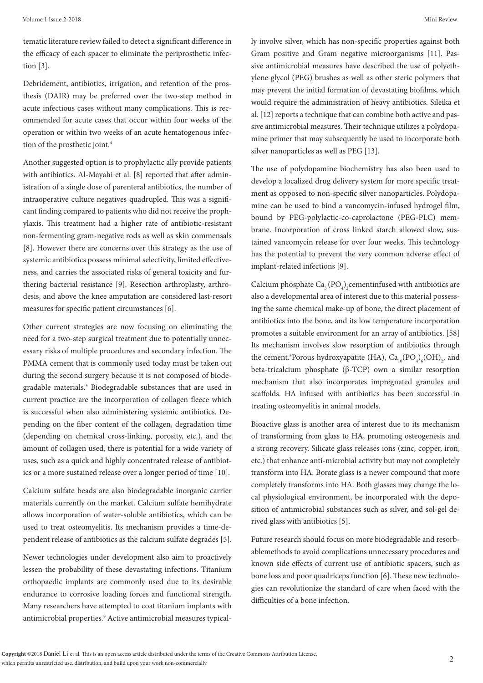tematic literature review failed to detect a significant difference in the efficacy of each spacer to eliminate the periprosthetic infection [3].

Debridement, antibiotics, irrigation, and retention of the prosthesis (DAIR) may be preferred over the two-step method in acute infectious cases without many complications. This is recommended for acute cases that occur within four weeks of the operation or within two weeks of an acute hematogenous infection of the prosthetic joint.<sup>4</sup>

Another suggested option is to prophylactic ally provide patients with antibiotics. Al-Mayahi et al. [8] reported that after administration of a single dose of parenteral antibiotics, the number of intraoperative culture negatives quadrupled. This was a significant finding compared to patients who did not receive the prophylaxis. This treatment had a higher rate of antibiotic-resistant non-fermenting gram-negative rods as well as skin commensals [8]. However there are concerns over this strategy as the use of systemic antibiotics possess minimal selectivity, limited effectiveness, and carries the associated risks of general toxicity and furthering bacterial resistance [9]. Resection arthroplasty, arthrodesis, and above the knee amputation are considered last-resort measures for specific patient circumstances [6].

Other current strategies are now focusing on eliminating the need for a two-step surgical treatment due to potentially unnecessary risks of multiple procedures and secondary infection. The PMMA cement that is commonly used today must be taken out during the second surgery because it is not composed of biodegradable materials.<sup>5</sup> Biodegradable substances that are used in current practice are the incorporation of collagen fleece which is successful when also administering systemic antibiotics. Depending on the fiber content of the collagen, degradation time (depending on chemical cross-linking, porosity, etc.), and the amount of collagen used, there is potential for a wide variety of uses, such as a quick and highly concentrated release of antibiotics or a more sustained release over a longer period of time [10].

Calcium sulfate beads are also biodegradable inorganic carrier materials currently on the market. Calcium sulfate hemihydrate allows incorporation of water-soluble antibiotics, which can be used to treat osteomyelitis. Its mechanism provides a time-dependent release of antibiotics as the calcium sulfate degrades [5].

Newer technologies under development also aim to proactively lessen the probability of these devastating infections. Titanium orthopaedic implants are commonly used due to its desirable endurance to corrosive loading forces and functional strength. Many researchers have attempted to coat titanium implants with antimicrobial properties.<sup>9</sup> Active antimicrobial measures typically involve silver, which has non-specific properties against both Gram positive and Gram negative microorganisms [11]. Passive antimicrobial measures have described the use of polyethylene glycol (PEG) brushes as well as other steric polymers that may prevent the initial formation of devastating biofilms, which would require the administration of heavy antibiotics. Sileika et al. [12] reports a technique that can combine both active and passive antimicrobial measures. Their technique utilizes a polydopamine primer that may subsequently be used to incorporate both silver nanoparticles as well as PEG [13].

The use of polydopamine biochemistry has also been used to develop a localized drug delivery system for more specific treatment as opposed to non-specific silver nanoparticles. Polydopamine can be used to bind a vancomycin-infused hydrogel film, bound by PEG-polylactic-co-caprolactone (PEG-PLC) membrane. Incorporation of cross linked starch allowed slow, sustained vancomycin release for over four weeks. This technology has the potential to prevent the very common adverse effect of implant-related infections [9].

Calcium phosphate  $\text{Ca}_{3}(\text{PO}_{4})$ <sub>2</sub> cementinfused with antibiotics are also a developmental area of interest due to this material possessing the same chemical make-up of bone, the direct placement of antibiotics into the bone, and its low temperature incorporation promotes a suitable environment for an array of antibiotics. [58] Its mechanism involves slow resorption of antibiotics through the cement.<sup>5</sup>Porous hydroxyapatite (HA),  $Ca_{10}(PO_4)_6(OH)_2$ , and beta-tricalcium phosphate (β-TCP) own a similar resorption mechanism that also incorporates impregnated granules and scaffolds. HA infused with antibiotics has been successful in treating osteomyelitis in animal models.

Bioactive glass is another area of interest due to its mechanism of transforming from glass to HA, promoting osteogenesis and a strong recovery. Silicate glass releases ions (zinc, copper, iron, etc.) that enhance anti-microbial activity but may not completely transform into HA. Borate glass is a newer compound that more completely transforms into HA. Both glasses may change the local physiological environment, be incorporated with the deposition of antimicrobial substances such as silver, and sol-gel derived glass with antibiotics [5].

Future research should focus on more biodegradable and resorbablemethods to avoid complications unnecessary procedures and known side effects of current use of antibiotic spacers, such as bone loss and poor quadriceps function [6]. These new technologies can revolutionize the standard of care when faced with the difficulties of a bone infection.